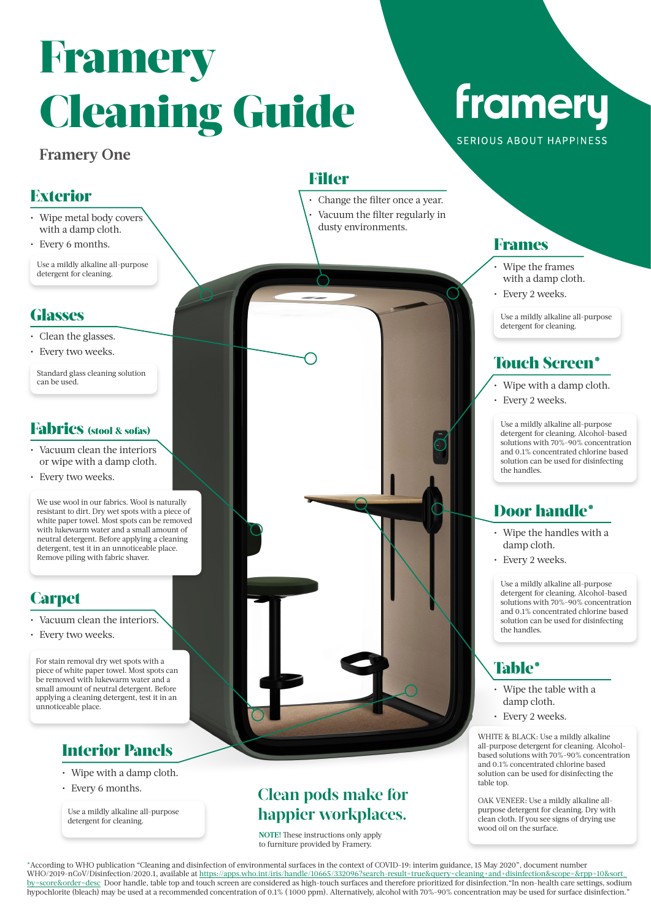# Framery Cleaning Guide

### **Framery One**

### Exterior

- Wipe metal body covers with a damp cloth.
- Every 6 months.

Use a mildly alkaline all-purpose detergent for cleaning.

### **Glasses**

- Clean the glasses.
- Every two weeks.

Standard glass cleaning solution can be used.

#### Fabrics (stool & sofas)

- Vacuum clean the interiors or wipe with a damp cloth.
- Every two weeks.

We use wool in our fabrics. Wool is naturally resistant to dirt. Dry wet spots with a piece of white paper towel. Most spots can be removed with lukewarm water and a small amount of neutral detergent. Before applying a cleaning detergent, test it in an unnoticeable place. Remove piling with fabric shaver.

# **Carpet**

- Vacuum clean the interiors.
- Every two weeks.

For stain removal dry wet spots with a piece of white paper towel. Most spots can be removed with lukewarm water and a small amount of neutral detergent. Before applying a cleaning detergent, test it in an unnoticeable place.

# Interior Panels

- Wipe with a damp cloth.
- Every 6 months.

Use a mildly alkaline all-purpose detergent for cleaning.

**Filter** 

Change the filter once a year. • Vacuum the filter regularly in dusty environments.

# framery SERIOUS ABOUT HAPPINESS

### Frames

- Wipe the frames with a damp cloth.
- Every 2 weeks.

Use a mildly alkaline all-purpose detergent for cleaning.

# Touch Screen\*

- Wipe with a damp cloth.
- Every 2 weeks.

Use a mildly alkaline all-purpose detergent for cleaning. Alcohol-based solutions with 70%-90% concentration and 0.1% concentrated chlorine based solution can be used for disinfecting the handles.

### Door handle\*

- Wipe the handles with a damp cloth.
- Every 2 weeks.

Use a mildly alkaline all-purpose detergent for cleaning. Alcohol-based solutions with 70%-90% concentration and 0.1% concentrated chlorine based solution can be used for disinfecting the handles.

# Table\*

- Wipe the table with a damp cloth.
- Every 2 weeks.

WHITE & BLACK: Use a mildly alkaline all-purpose detergent for cleaning. Alcoholbased solutions with 70%-90% concentration and 0.1% concentrated chlorine based solution can be used for disinfecting the table top.

OAK VENEER: Use a mildly alkaline allpurpose detergent for cleaning. Dry with clean cloth. If you see signs of drying use wood oil on the surface.

\*According to WHO publication "Cleaning and disinfection of environmental surfaces in the context of COVID-19: interim guidance, 15 May 2020", document number WHO/2019-nCoV/Disinfection/2020.1, available at https://apps.who.int/iris/handle/10665/332096?search-result=true&query=cleaning+and+disinfection&scope=&rpp=10&sort\_ by=score&order=desc Door handle, table top and touch screen are considered as high-touch surfaces and therefore prioritized for disinfection."In non-health care settings, sodium hypochlorite (bleach) may be used at a recommended concentration of 0.1% ( 1000 ppm). Alternatively, alcohol with 70%-90% concentration may be used for surface disinfection."

# **Clean pods make for happier workplaces.**

**NOTE!** These instructions only apply to furniture provided by Framery.